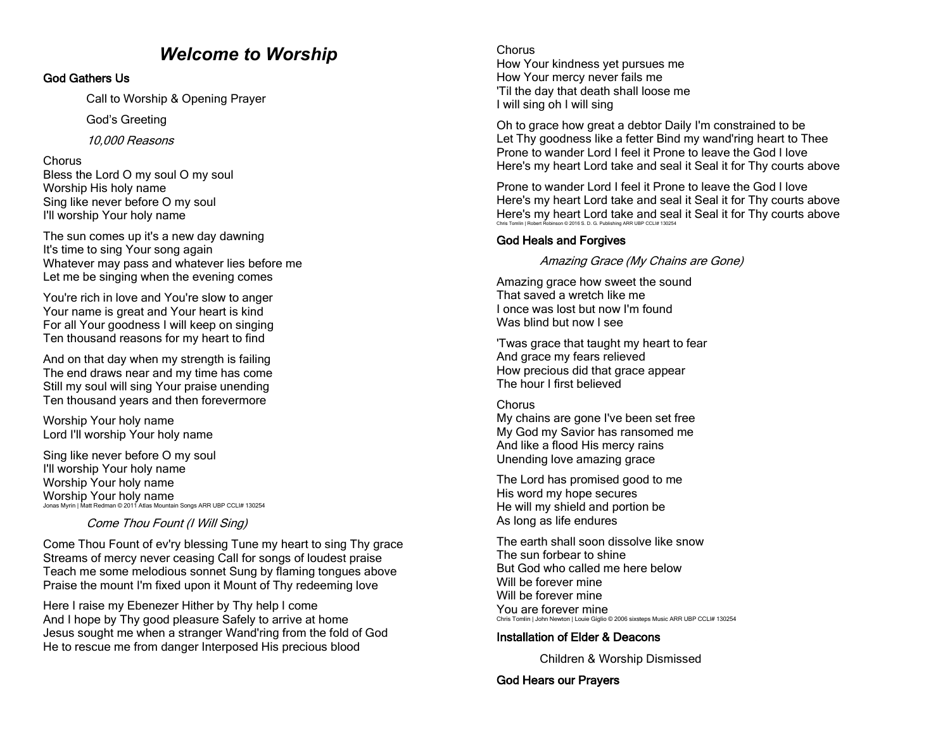#### *Welcome to Worship*

#### God Gathers Us

Call to Worship & Opening Prayer

God's Greeting

10,000 Reasons

#### Chorus

Bless the Lord O my soul O my soul Worship His holy name Sing like never before O my soul I'll worship Your holy name

The sun comes up it's a new day dawning It's time to sing Your song again Whatever may pass and whatever lies before me Let me be singing when the evening comes

You're rich in love and You're slow to anger Your name is great and Your heart is kind For all Your goodness I will keep on singing Ten thousand reasons for my heart to find

And on that day when my strength is failing The end draws near and my time has come Still my soul will sing Your praise unending Ten thousand years and then forevermore

Worship Your holy name Lord I'll worship Your holy name

Sing like never before O my soul I'll worship Your holy name Worship Your holy name Worship Your holy name<br>Jonas Myrin | Matt Redman © 2011 Atlas Mountain Songs ARR UBP CCLI# 130254

#### Come Thou Fount (I Will Sing)

Come Thou Fount of ev'ry blessing Tune my heart to sing Thy grace Streams of mercy never ceasing Call for songs of loudest praise Teach me some melodious sonnet Sung by flaming tongues above Praise the mount I'm fixed upon it Mount of Thy redeeming love

Here I raise my Ebenezer Hither by Thy help I come And I hope by Thy good pleasure Safely to arrive at home Jesus sought me when a stranger Wand'ring from the fold of God He to rescue me from danger Interposed His precious blood

Chorus How Your kindness yet pursues me How Your mercy never fails me 'Til the day that death shall loose me I will sing oh I will sing

Oh to grace how great a debtor Daily I'm constrained to be Let Thy goodness like a fetter Bind my wand'ring heart to Thee Prone to wander Lord I feel it Prone to leave the God I love Here's my heart Lord take and seal it Seal it for Thy courts above

Prone to wander Lord I feel it Prone to leave the God I love Here's my heart Lord take and seal it Seal it for Thy courts above Here's my heart Lord take and seal it Seal it for Thy courts above Chris Tomlin | Robert Robinson © 2016 S. D. G. Publishing ARR UBP CCLI# 130254

#### God Heals and Forgives

Amazing Grace (My Chains are Gone)

Amazing grace how sweet the sound That saved a wretch like me I once was lost but now I'm found Was blind but now I see

'Twas grace that taught my heart to fear And grace my fears relieved How precious did that grace appear The hour I first believed

Chorus My chains are gone I've been set free My God my Savior has ransomed me And like a flood His mercy rains Unending love amazing grace

The Lord has promised good to me His word my hope secures He will my shield and portion be As long as life endures

The earth shall soon dissolve like snow The sun forbear to shine But God who called me here below Will be forever mine Will be forever mine You are forever mine Chris Tomlin | John Newton | Louie Giglio © 2006 sixsteps Music ARR UBP CCLI# 130254

#### Installation of Elder & Deacons

Children & Worship Dismissed

God Hears our Prayers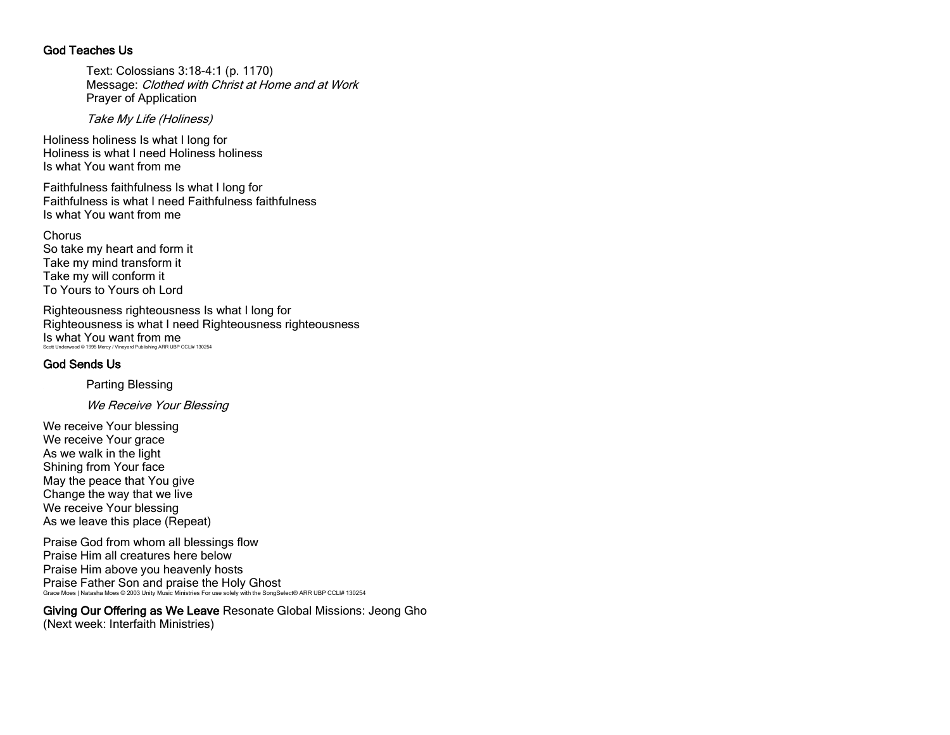#### God Teaches Us

Text: Colossians 3:18-4:1 (p. 1170) Message: Clothed with Christ at Home and at Work Prayer of Application

Take My Life (Holiness)

Holiness holiness Is what I long for Holiness is what I need Holiness holiness Is what You want from me

Faithfulness faithfulness Is what I long for Faithfulness is what I need Faithfulness faithfulness Is what You want from me

Chorus So take my heart and form it Take my mind transform it Take my will conform it To Yours to Yours oh Lord

Righteousness righteousness Is what I long for Righteousness is what I need Righteousness righteousness Is what You want from me Scott Underwood © 1995 Mercy / Vineyard Publishing ARR UBP CCLI# 130254

#### God Sends Us

Parting Blessing

We Receive Your Blessing

We receive Your blessing We receive Your grace As we walk in the light Shining from Your face May the peace that You give Change the way that we live We receive Your blessing As we leave this place (Repeat)

Praise God from whom all blessings flow Praise Him all creatures here below Praise Him above you heavenly hosts Praise Father Son and praise the Holy Ghost Grace Moes | Natasha Moes © 2003 Unity Music Ministries For use solely with the SongSelect® ARR UBP CCLI# 130254

Giving Our Offering as We Leave Resonate Global Missions: Jeong Gho (Next week: Interfaith Ministries)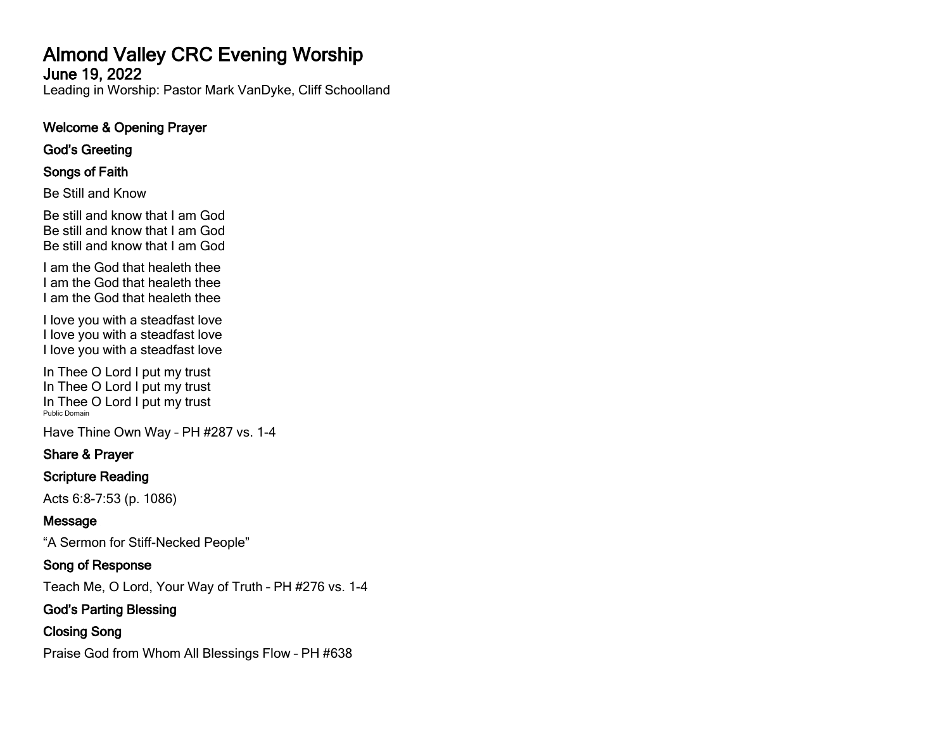Almond Valley CRC Evening Worship<br>June 19, 2022<br>Leading in Worship: Pastor Mark VanDyke, Cliff Schoolland

#### Welcome & Opening Prayer

#### God's Greeting

#### Songs of Faith

Be Still and Know

Be still and know that I am God Be still and know that I am God Be still and know that I am God

I am the God that healeth thee I am the God that healeth thee I am the God that healeth thee

I love you with a steadfast love I love you with a steadfast love I love you with a steadfast love

In Thee O Lord I put my trust In Thee O Lord I put my trust In Thee O Lord I put my trust Public Domain

Have Thine Own Way – PH #287 vs. 1-4

#### Share & Prayer

#### Scripture Reading

Acts 6:8-7:53 (p. 1086)

#### Message

"A Sermon for Stiff-Necked People"

#### Song of Response

Teach Me, O Lord, Your Way of Truth – PH #276 vs. 1-4

#### God's Parting Blessing

#### Closing Song

Praise God from Whom All Blessings Flow – PH #638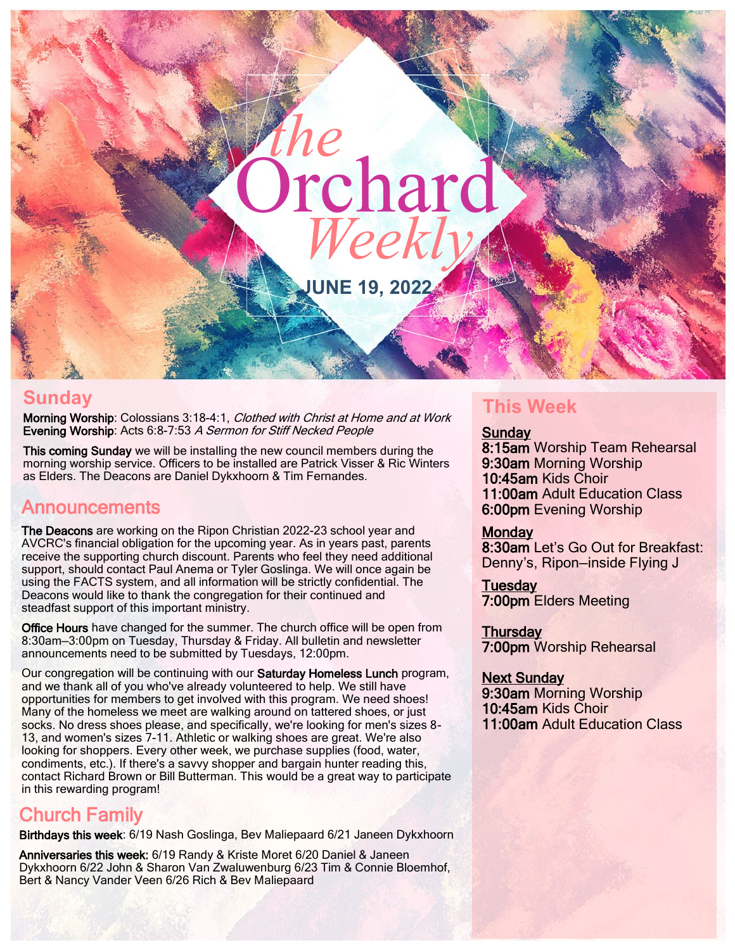## Orchard *Weekly the*

**JUNE 19, 2022**

#### **Sunday**

Morning Worship: Colossians 3:18-4:1, Clothed with Christ at Home and at Work Evening Worship: Acts 6:8-7:53 A Sermon for Stiff Necked People

This coming Sunday we will be installing the new council members during the morning worship service. Officers to be installed are Patrick Visser & Ric Winters as Elders. The Deacons are Daniel Dykxhoorn & Tim Fernandes.

#### **Announcements**

The Deacons are working on the Ripon Christian 2022-23 school year and AVCRC's financial obligation for the upcoming year. As in years past, parents receive the supporting church discount. Parents who feel they need additional support, should contact Paul Anema or Tyler Goslinga. We will once again be using the FACTS system, and all information will be strictly confidential. The Deacons would like to thank the congregation for their continued and steadfast support of this important ministry.

Office Hours have changed for the summer. The church office will be open from 8:30am—3:00pm on Tuesday, Thursday & Friday. All bulletin and newsletter announcements need to be submitted by Tuesdays, 12:00pm.

Our congregation will be continuing with our Saturday Homeless Lunch program, and we thank all of you who've already volunteered to help. We still have opportunities for members to get involved with this program. We need shoes! Many of the homeless we meet are walking around on tattered shoes, or just socks. No dress shoes please, and specifically, we're looking for men's sizes 8- 13, and women's sizes 7-11. Athletic or walking shoes are great. We're also looking for shoppers. Every other week, we purchase supplies (food, water, condiments, etc.). If there's a savvy shopper and bargain hunter reading this, contact Richard Brown or Bill Butterman. This would be a great way to participate in this rewarding program!

#### Church Family

Birthdays this week: 6/19 Nash Goslinga, Bev Maliepaard 6/21 Janeen Dykxhoorn

Anniversaries this week: 6/19 Randy & Kriste Moret 6/20 Daniel & Janeen Dykxhoorn 6/22 John & Sharon Van Zwaluwenburg 6/23 Tim & Connie Bloemhof, Bert & Nancy Vander Veen 6/26 Rich & Bev Maliepaard

#### **This Week**

**Sunday** 

8:15am Worship Team Rehearsal 9:30am Morning Worship 10:45am Kids Choir 11:00am Adult Education Class 6:00pm Evening Worship

#### Monday

8:30am Let's Go Out for Breakfast: Denny's, Ripon—inside Flying J

**Tuesday** 7:00pm Elders Meeting

**Thursday** 7:00pm Worship Rehearsal

#### **Next Sunday**

9:30am Morning Worship 10:45am Kids Choir 11:00am Adult Education Class